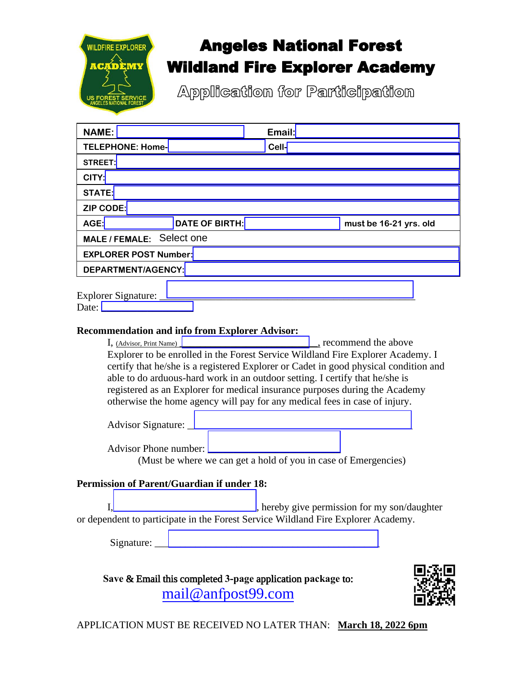

## **Angeles National Forest Wildland Fire Explorer Academy**

Application for Participation

| <b>NAME:</b>                                                                                                                                                                                                                                                                                                                                                                                                                                                                                                                                                         |                       | Email:                                                                                                               |                        |  |  |  |
|----------------------------------------------------------------------------------------------------------------------------------------------------------------------------------------------------------------------------------------------------------------------------------------------------------------------------------------------------------------------------------------------------------------------------------------------------------------------------------------------------------------------------------------------------------------------|-----------------------|----------------------------------------------------------------------------------------------------------------------|------------------------|--|--|--|
| TELEPHONE: Home-<br>$Cell-$                                                                                                                                                                                                                                                                                                                                                                                                                                                                                                                                          |                       |                                                                                                                      |                        |  |  |  |
| STREET:                                                                                                                                                                                                                                                                                                                                                                                                                                                                                                                                                              |                       |                                                                                                                      |                        |  |  |  |
| CITY:                                                                                                                                                                                                                                                                                                                                                                                                                                                                                                                                                                |                       |                                                                                                                      |                        |  |  |  |
| <b>STATE:</b>                                                                                                                                                                                                                                                                                                                                                                                                                                                                                                                                                        |                       |                                                                                                                      |                        |  |  |  |
| ZIP CODE:                                                                                                                                                                                                                                                                                                                                                                                                                                                                                                                                                            |                       |                                                                                                                      |                        |  |  |  |
| $AGE$ :                                                                                                                                                                                                                                                                                                                                                                                                                                                                                                                                                              | <b>DATE OF BIRTH:</b> |                                                                                                                      | must be 16-21 yrs. old |  |  |  |
| MALE / FEMALE: Select one                                                                                                                                                                                                                                                                                                                                                                                                                                                                                                                                            |                       |                                                                                                                      |                        |  |  |  |
| <b>EXPLORER POST Number:</b>                                                                                                                                                                                                                                                                                                                                                                                                                                                                                                                                         |                       |                                                                                                                      |                        |  |  |  |
| DEPARTMENT/AGENCY:                                                                                                                                                                                                                                                                                                                                                                                                                                                                                                                                                   |                       |                                                                                                                      |                        |  |  |  |
| <b>Explorer Signature:</b><br>Date:<br><b>Recommendation and info from Explorer Advisor:</b><br>I, (Advisor, Print Name)<br>streed the above<br>Explorer to be enrolled in the Forest Service Wildland Fire Explorer Academy. I<br>certify that he/she is a registered Explorer or Cadet in good physical condition and<br>able to do arduous-hard work in an outdoor setting. I certify that he/she is<br>registered as an Explorer for medical insurance purposes during the Academy<br>otherwise the home agency will pay for any medical fees in case of injury. |                       |                                                                                                                      |                        |  |  |  |
| <b>Advisor Signature:</b><br><b>Advisor Phone number:</b>                                                                                                                                                                                                                                                                                                                                                                                                                                                                                                            |                       | (Must be where we can get a hold of you in case of Emergencies)                                                      |                        |  |  |  |
| <b>Permission of Parent/Guardian if under 18:</b>                                                                                                                                                                                                                                                                                                                                                                                                                                                                                                                    |                       |                                                                                                                      |                        |  |  |  |
| $\Box$ , hereby give permission for my son/daughter<br>or dependent to participate in the Forest Service Wildland Fire Explorer Academy.                                                                                                                                                                                                                                                                                                                                                                                                                             |                       |                                                                                                                      |                        |  |  |  |
| Signature: $\overline{\phantom{a}}$                                                                                                                                                                                                                                                                                                                                                                                                                                                                                                                                  |                       | <u> 1989 - Johann Barn, mars ann an t-Amhain Aonaich an t-Aonaich an t-Aonaich ann an t-Aonaich ann an t-Aonaich</u> |                        |  |  |  |
| Save & Email this completed 3-page application package to:<br>mail@anfpost99.com                                                                                                                                                                                                                                                                                                                                                                                                                                                                                     |                       |                                                                                                                      |                        |  |  |  |

APPLICATION MUST BE RECEIVED NO LATER THAN: **March 18, 2022 6pm**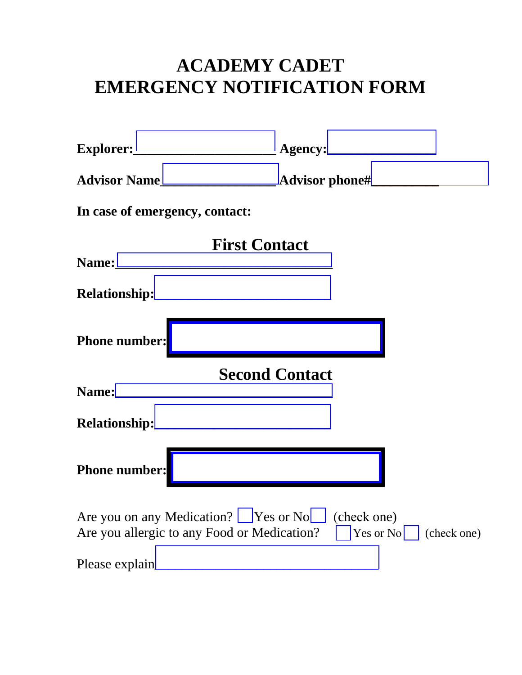## **ACADEMY CADET EMERGENCY NOTIFICATION FORM**

| Explorer: L<br>Agency:                                                                                                                         |
|------------------------------------------------------------------------------------------------------------------------------------------------|
| Advisor Name<br>Advisor phone#                                                                                                                 |
| In case of emergency, contact:                                                                                                                 |
| <b>First Contact</b><br>Name:                                                                                                                  |
| <b>Relationship:</b>                                                                                                                           |
| <b>Phone number:</b>                                                                                                                           |
| <b>Second Contact</b><br><b>Name:</b>                                                                                                          |
| <b>Relationship:</b>                                                                                                                           |
| <b>Phone number:</b>                                                                                                                           |
| Are you on any Medication? <u>Sexual</u> Yes or No<br>(check one)<br>Are you allergic to any Food or Medication?<br>Yes or $No$<br>(check one) |
| Please explain                                                                                                                                 |